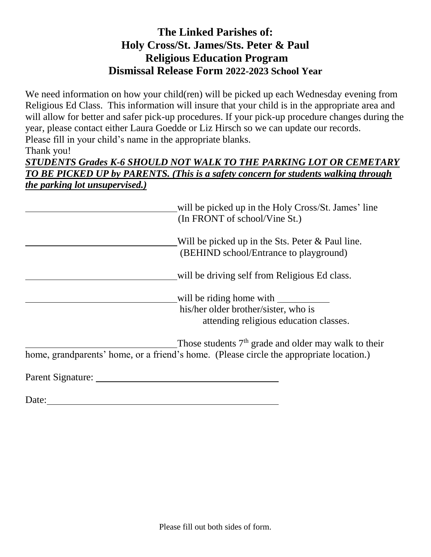## **The Linked Parishes of: Holy Cross/St. James/Sts. Peter & Paul Religious Education Program Dismissal Release Form 2022-2023 School Year**

We need information on how your child(ren) will be picked up each Wednesday evening from Religious Ed Class. This information will insure that your child is in the appropriate area and will allow for better and safer pick-up procedures. If your pick-up procedure changes during the year, please contact either Laura Goedde or Liz Hirsch so we can update our records. Please fill in your child's name in the appropriate blanks.

## Thank you!

## *STUDENTS Grades K-6 SHOULD NOT WALK TO THE PARKING LOT OR CEMETARY TO BE PICKED UP by PARENTS. (This is a safety concern for students walking through the parking lot unsupervised.)*

| will be picked up in the Holy Cross/St. James' line<br>(In FRONT of school/Vine St.)                                                              |  |
|---------------------------------------------------------------------------------------------------------------------------------------------------|--|
| Will be picked up in the Sts. Peter $&$ Paul line.<br>(BEHIND school/Entrance to playground)                                                      |  |
| will be driving self from Religious Ed class.                                                                                                     |  |
| will be riding home with<br>his/her older brother/sister, who is                                                                                  |  |
| attending religious education classes.                                                                                                            |  |
| Those students $7th$ grade and older may walk to their<br>home, grandparents' home, or a friend's home. (Please circle the appropriate location.) |  |
| Parent Signature:                                                                                                                                 |  |

Date: